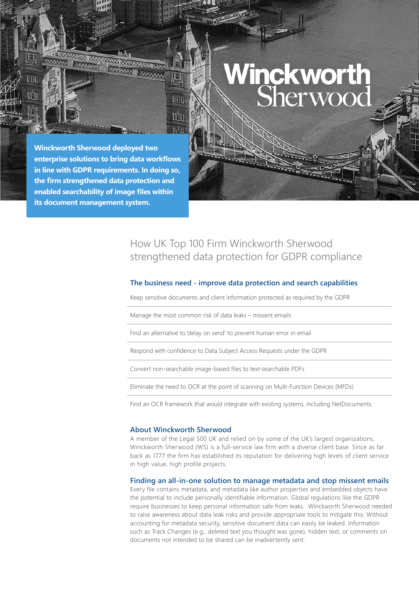# Winckworth<br>Sherwood

**Winckworth Sherwood deployed two enterprise solutions to bring data workflows in line with GDPR requirements. In doing so, the firm strengthened data protection and enabled searchability of image files within its document management system.** 

**EXAMINATION SCOTLED BY AN ARTICLE AND RESIDENCE** 

**REPORT OF A STATE OF A STATE OF A STATE OF A STATE OF A STATE OF A STATE OF A STATE OF A STATE OF A STATE OF A** 

**THI** 

HHH

the  $\Omega_{\rm eff}^{-1}$ 

# How UK Top 100 Firm Winckworth Sherwood strengthened data protection for GDPR compliance

## **The business need - improve data protection and search capabilities**

Keep sensitive documents and client information protected as required by the GDPR

Manage the most common risk of data leaks – missent emails

Find an alternative to 'delay on send' to prevent human error in email

Respond with confidence to Data Subject Access Requests under the GDPR

Convert non-searchable image-based files to text-searchable PDFs

Eliminate the need to OCR at the point of scanning on Multi-Function Devices (MFDs)

Find an OCR framework that would integrate with existing systems, including NetDocuments

### **About Winckworth Sherwood**

A member of the Legal 500 UK and relied on by some of the UK's largest organizations, Winckworth Sherwood (WS) is a full-service law firm with a diverse client base. Since as far back as 1777 the firm has established its reputation for delivering high levels of client service in high value, high profile projects.

### **Finding an all-in-one solution to manage metadata and stop missent emails**

Every file contains metadata, and metadata like author properties and embedded objects have the potential to include personally identifiable information. Global regulations like the GDPR require businesses to keep personal information safe from leaks. Winckworth Sherwood needed to raise awareness about data leak risks and provide appropriate tools to mitigate this. Without accounting for metadata security, sensitive document data can easily be leaked. Information such as Track Changes (e.g., deleted text you thought was gone), hidden text, or comments on documents not intended to be shared can be inadvertently sent.